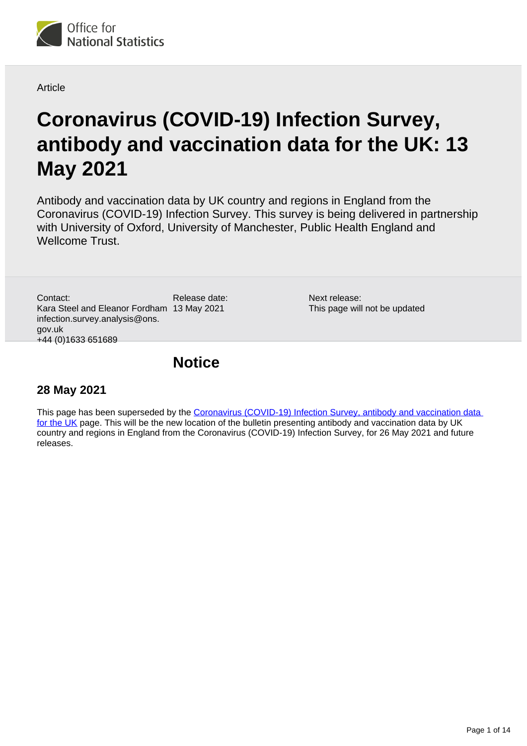

**Article** 

# **Coronavirus (COVID-19) Infection Survey, antibody and vaccination data for the UK: 13 May 2021**

Antibody and vaccination data by UK country and regions in England from the Coronavirus (COVID-19) Infection Survey. This survey is being delivered in partnership with University of Oxford, University of Manchester, Public Health England and Wellcome Trust.

Release date: Kara Steel and Eleanor Fordham 13 May 2021 Contact: infection.survey.analysis@ons. gov.uk +44 (0)1633 651689

Next release: This page will not be updated

# **Notice**

## **28 May 2021**

This page has been superseded by the Coronavirus (COVID-19) Infection Survey, antibody and vaccination data [for the UK](https://www.ons.gov.uk/peoplepopulationandcommunity/healthandsocialcare/conditionsanddiseases/bulletins/coronaviruscovid19infectionsurveyantibodyandvaccinationdatafortheuk/latest) page. This will be the new location of the bulletin presenting antibody and vaccination data by UK country and regions in England from the Coronavirus (COVID-19) Infection Survey, for 26 May 2021 and future releases.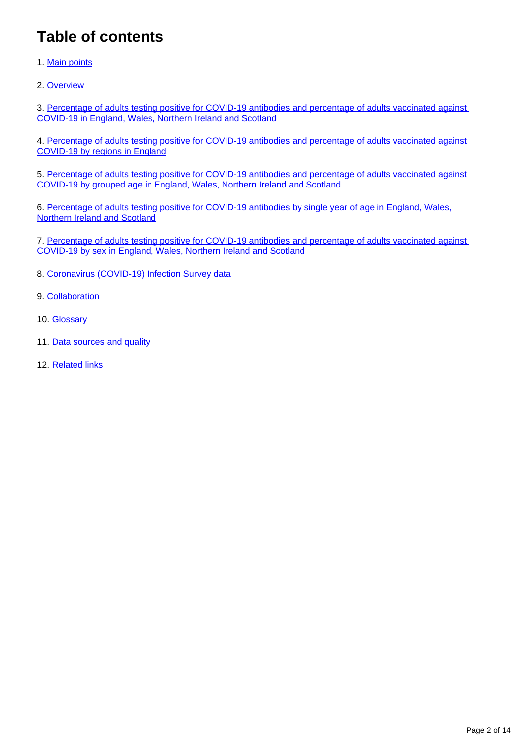# **Table of contents**

- 1. [Main points](#page-2-0)
- 2. [Overview](#page-2-1)

3. [Percentage of adults testing positive for COVID-19 antibodies and percentage of adults vaccinated against](#page-4-0)  [COVID-19 in England, Wales, Northern Ireland and Scotland](#page-4-0)

4. [Percentage of adults testing positive for COVID-19 antibodies and percentage of adults vaccinated against](#page-6-0)  [COVID-19 by regions in England](#page-6-0)

5. [Percentage of adults testing positive for COVID-19 antibodies and percentage of adults vaccinated against](#page-7-0)  [COVID-19 by grouped age in England, Wales, Northern Ireland and Scotland](#page-7-0)

6. [Percentage of adults testing positive for COVID-19 antibodies by single year of age in England, Wales,](#page-9-0)  [Northern Ireland and Scotland](#page-9-0)

7. [Percentage of adults testing positive for COVID-19 antibodies and percentage of adults vaccinated against](#page-10-0)  [COVID-19 by sex in England, Wales, Northern Ireland and Scotland](#page-10-0)

- 8. [Coronavirus \(COVID-19\) Infection Survey data](#page-11-0)
- 9. [Collaboration](#page-11-1)
- 10. [Glossary](#page-11-2)
- 11. [Data sources and quality](#page-12-0)
- 12. [Related links](#page-13-0)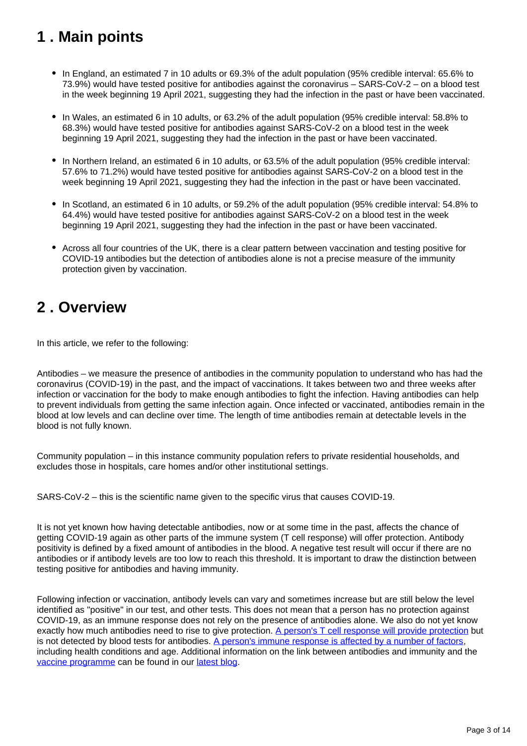# <span id="page-2-0"></span>**1 . Main points**

- In England, an estimated 7 in 10 adults or 69.3% of the adult population (95% credible interval: 65.6% to 73.9%) would have tested positive for antibodies against the coronavirus – SARS-CoV-2 – on a blood test in the week beginning 19 April 2021, suggesting they had the infection in the past or have been vaccinated.
- In Wales, an estimated 6 in 10 adults, or 63.2% of the adult population (95% credible interval: 58.8% to 68.3%) would have tested positive for antibodies against SARS-CoV-2 on a blood test in the week beginning 19 April 2021, suggesting they had the infection in the past or have been vaccinated.
- In Northern Ireland, an estimated 6 in 10 adults, or 63.5% of the adult population (95% credible interval: 57.6% to 71.2%) would have tested positive for antibodies against SARS-CoV-2 on a blood test in the week beginning 19 April 2021, suggesting they had the infection in the past or have been vaccinated.
- In Scotland, an estimated 6 in 10 adults, or 59.2% of the adult population (95% credible interval: 54.8% to 64.4%) would have tested positive for antibodies against SARS-CoV-2 on a blood test in the week beginning 19 April 2021, suggesting they had the infection in the past or have been vaccinated.
- Across all four countries of the UK, there is a clear pattern between vaccination and testing positive for COVID-19 antibodies but the detection of antibodies alone is not a precise measure of the immunity protection given by vaccination.

# <span id="page-2-1"></span>**2 . Overview**

In this article, we refer to the following:

Antibodies – we measure the presence of antibodies in the community population to understand who has had the coronavirus (COVID-19) in the past, and the impact of vaccinations. It takes between two and three weeks after infection or vaccination for the body to make enough antibodies to fight the infection. Having antibodies can help to prevent individuals from getting the same infection again. Once infected or vaccinated, antibodies remain in the blood at low levels and can decline over time. The length of time antibodies remain at detectable levels in the blood is not fully known.

Community population – in this instance community population refers to private residential households, and excludes those in hospitals, care homes and/or other institutional settings.

SARS-CoV-2 – this is the scientific name given to the specific virus that causes COVID-19.

It is not yet known how having detectable antibodies, now or at some time in the past, affects the chance of getting COVID-19 again as other parts of the immune system (T cell response) will offer protection. Antibody positivity is defined by a fixed amount of antibodies in the blood. A negative test result will occur if there are no antibodies or if antibody levels are too low to reach this threshold. It is important to draw the distinction between testing positive for antibodies and having immunity.

Following infection or vaccination, antibody levels can vary and sometimes increase but are still below the level identified as "positive" in our test, and other tests. This does not mean that a person has no protection against COVID-19, as an immune response does not rely on the presence of antibodies alone. We also do not yet know exactly how much antibodies need to rise to give protection. [A person's T cell response will provide protection](https://theconversation.com/covid-19-immunity-how-long-does-it-last-152849) but is not detected by blood tests for antibodies. [A person's immune response is affected by a number of factors,](https://www.immunology.org/news/ageing-and-covid-19-what-do-we-know-so-far) including health conditions and age. Additional information on the link between antibodies and immunity and the [vaccine programme](https://blog.ons.gov.uk/2021/04/27/what-the-ons-can-tell-you-about-the-covid-19-vaccine-programme/) can be found in our [latest blog](https://blog.ons.gov.uk/2021/04/28/antibodies-and-immunity-how-do-they-relate-to-one-another/).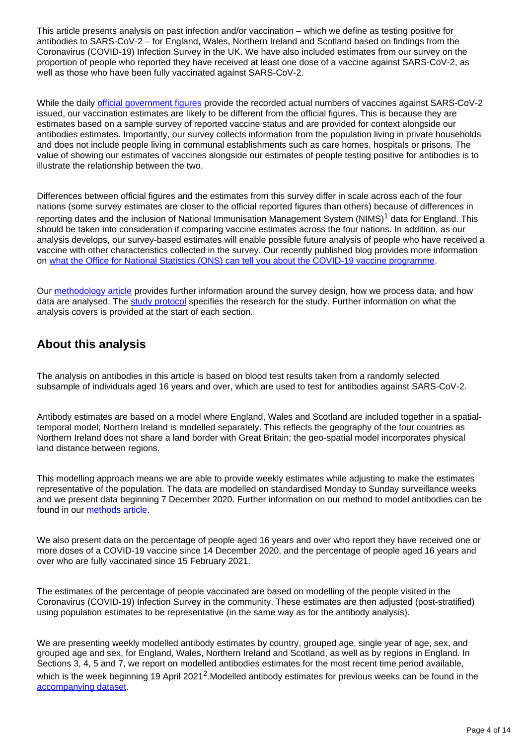This article presents analysis on past infection and/or vaccination – which we define as testing positive for antibodies to SARS-CoV-2 – for England, Wales, Northern Ireland and Scotland based on findings from the Coronavirus (COVID-19) Infection Survey in the UK. We have also included estimates from our survey on the proportion of people who reported they have received at least one dose of a vaccine against SARS-CoV-2, as well as those who have been fully vaccinated against SARS-CoV-2.

While the daily [official government figures](https://coronavirus.data.gov.uk/details/vaccinations) provide the recorded actual numbers of vaccines against SARS-CoV-2 issued, our vaccination estimates are likely to be different from the official figures. This is because they are estimates based on a sample survey of reported vaccine status and are provided for context alongside our antibodies estimates. Importantly, our survey collects information from the population living in private households and does not include people living in communal establishments such as care homes, hospitals or prisons. The value of showing our estimates of vaccines alongside our estimates of people testing positive for antibodies is to illustrate the relationship between the two.

Differences between official figures and the estimates from this survey differ in scale across each of the four nations (some survey estimates are closer to the official reported figures than others) because of differences in reporting dates and the inclusion of National Immunisation Management System (NIMS)<sup>1</sup> data for England. This should be taken into consideration if comparing vaccine estimates across the four nations. In addition, as our analysis develops, our survey-based estimates will enable possible future analysis of people who have received a vaccine with other characteristics collected in the survey. Our recently published blog provides more information on [what the Office for National Statistics \(ONS\) can tell you about the COVID-19 vaccine programme](https://blog.ons.gov.uk/2021/04/27/what-the-ons-can-tell-you-about-the-covid-19-vaccine-programme/).

Our [methodology article](https://www.ons.gov.uk/peoplepopulationandcommunity/healthandsocialcare/conditionsanddiseases/methodologies/covid19infectionsurveypilotmethodsandfurtherinformation) provides further information around the survey design, how we process data, and how data are analysed. The [study protocol](https://www.ndm.ox.ac.uk/covid-19/covid-19-infection-survey/protocol-and-information-sheets) specifies the research for the study. Further information on what the analysis covers is provided at the start of each section.

# **About this analysis**

The analysis on antibodies in this article is based on blood test results taken from a randomly selected subsample of individuals aged 16 years and over, which are used to test for antibodies against SARS-CoV-2.

Antibody estimates are based on a model where England, Wales and Scotland are included together in a spatialtemporal model; Northern Ireland is modelled separately. This reflects the geography of the four countries as Northern Ireland does not share a land border with Great Britain; the geo-spatial model incorporates physical land distance between regions.

This modelling approach means we are able to provide weekly estimates while adjusting to make the estimates representative of the population. The data are modelled on standardised Monday to Sunday surveillance weeks and we present data beginning 7 December 2020. Further information on our method to model antibodies can be found in our [methods article](https://www.ons.gov.uk/peoplepopulationandcommunity/healthandsocialcare/conditionsanddiseases/methodologies/covid19infectionsurveypilotmethodsandfurtherinformation).

We also present data on the percentage of people aged 16 years and over who report they have received one or more doses of a COVID-19 vaccine since 14 December 2020, and the percentage of people aged 16 years and over who are fully vaccinated since 15 February 2021.

The estimates of the percentage of people vaccinated are based on modelling of the people visited in the Coronavirus (COVID-19) Infection Survey in the community. These estimates are then adjusted (post-stratified) using population estimates to be representative (in the same way as for the antibody analysis).

We are presenting weekly modelled antibody estimates by country, grouped age, single year of age, sex, and grouped age and sex, for England, Wales, Northern Ireland and Scotland, as well as by regions in England. In Sections 3, 4, 5 and 7, we report on modelled antibodies estimates for the most recent time period available, which is the week beginning 19 April 2021<sup>2</sup>. Modelled antibody estimates for previous weeks can be found in the [accompanying dataset.](https://www.ons.gov.uk/peoplepopulationandcommunity/healthandsocialcare/conditionsanddiseases/datasets/coronaviruscovid19antibodydatafortheuk)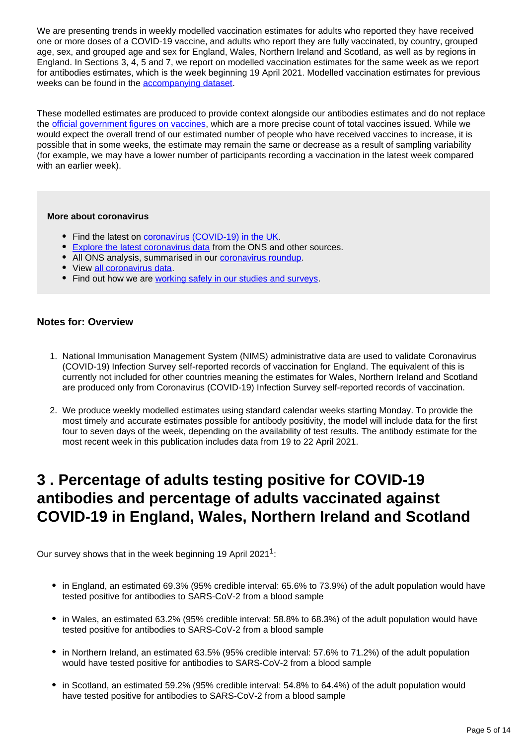We are presenting trends in weekly modelled vaccination estimates for adults who reported they have received one or more doses of a COVID-19 vaccine, and adults who report they are fully vaccinated, by country, grouped age, sex, and grouped age and sex for England, Wales, Northern Ireland and Scotland, as well as by regions in England. In Sections 3, 4, 5 and 7, we report on modelled vaccination estimates for the same week as we report for antibodies estimates, which is the week beginning 19 April 2021. Modelled vaccination estimates for previous weeks can be found in the [accompanying dataset.](https://www.ons.gov.uk/peoplepopulationandcommunity/healthandsocialcare/conditionsanddiseases/datasets/coronaviruscovid19antibodydatafortheuk)

These modelled estimates are produced to provide context alongside our antibodies estimates and do not replace the [official government figures on vaccines,](https://coronavirus.data.gov.uk/details/vaccinations) which are a more precise count of total vaccines issued. While we would expect the overall trend of our estimated number of people who have received vaccines to increase, it is possible that in some weeks, the estimate may remain the same or decrease as a result of sampling variability (for example, we may have a lower number of participants recording a vaccination in the latest week compared with an earlier week).

#### **More about coronavirus**

- Find the latest on *coronavirus (COVID-19)* in the UK.
- **[Explore the latest coronavirus data](https://www.ons.gov.uk/peoplepopulationandcommunity/healthandsocialcare/conditionsanddiseases/articles/coronaviruscovid19/latestinsights) from the ONS and other sources.**
- All ONS analysis, summarised in our [coronavirus roundup.](https://www.ons.gov.uk/peoplepopulationandcommunity/healthandsocialcare/conditionsanddiseases/articles/coronaviruscovid19roundup/latest)
- View [all coronavirus data](https://www.ons.gov.uk/peoplepopulationandcommunity/healthandsocialcare/conditionsanddiseases/datalist).
- Find out how we are [working safely in our studies and surveys.](https://www.ons.gov.uk/news/statementsandletters/ensuringyoursafetyduringcovid19)

### **Notes for: Overview**

- 1. National Immunisation Management System (NIMS) administrative data are used to validate Coronavirus (COVID-19) Infection Survey self-reported records of vaccination for England. The equivalent of this is currently not included for other countries meaning the estimates for Wales, Northern Ireland and Scotland are produced only from Coronavirus (COVID-19) Infection Survey self-reported records of vaccination.
- 2. We produce weekly modelled estimates using standard calendar weeks starting Monday. To provide the most timely and accurate estimates possible for antibody positivity, the model will include data for the first four to seven days of the week, depending on the availability of test results. The antibody estimate for the most recent week in this publication includes data from 19 to 22 April 2021.

# <span id="page-4-0"></span>**3 . Percentage of adults testing positive for COVID-19 antibodies and percentage of adults vaccinated against COVID-19 in England, Wales, Northern Ireland and Scotland**

Our survey shows that in the week beginning 19 April 2021<sup>1</sup>:

- in England, an estimated 69.3% (95% credible interval: 65.6% to 73.9%) of the adult population would have tested positive for antibodies to SARS-CoV-2 from a blood sample
- in Wales, an estimated 63.2% (95% credible interval: 58.8% to 68.3%) of the adult population would have tested positive for antibodies to SARS-CoV-2 from a blood sample
- in Northern Ireland, an estimated 63.5% (95% credible interval: 57.6% to 71.2%) of the adult population would have tested positive for antibodies to SARS-CoV-2 from a blood sample
- in Scotland, an estimated 59.2% (95% credible interval: 54.8% to 64.4%) of the adult population would have tested positive for antibodies to SARS-CoV-2 from a blood sample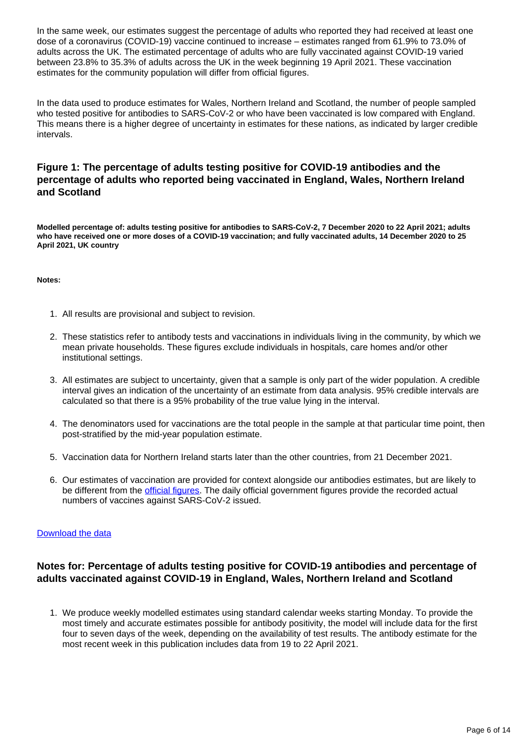In the same week, our estimates suggest the percentage of adults who reported they had received at least one dose of a coronavirus (COVID-19) vaccine continued to increase – estimates ranged from 61.9% to 73.0% of adults across the UK. The estimated percentage of adults who are fully vaccinated against COVID-19 varied between 23.8% to 35.3% of adults across the UK in the week beginning 19 April 2021. These vaccination estimates for the community population will differ from official figures.

In the data used to produce estimates for Wales, Northern Ireland and Scotland, the number of people sampled who tested positive for antibodies to SARS-CoV-2 or who have been vaccinated is low compared with England. This means there is a higher degree of uncertainty in estimates for these nations, as indicated by larger credible intervals.

## **Figure 1: The percentage of adults testing positive for COVID-19 antibodies and the percentage of adults who reported being vaccinated in England, Wales, Northern Ireland and Scotland**

**Modelled percentage of: adults testing positive for antibodies to SARS-CoV-2, 7 December 2020 to 22 April 2021; adults who have received one or more doses of a COVID-19 vaccination; and fully vaccinated adults, 14 December 2020 to 25 April 2021, UK country**

#### **Notes:**

- 1. All results are provisional and subject to revision.
- 2. These statistics refer to antibody tests and vaccinations in individuals living in the community, by which we mean private households. These figures exclude individuals in hospitals, care homes and/or other institutional settings.
- 3. All estimates are subject to uncertainty, given that a sample is only part of the wider population. A credible interval gives an indication of the uncertainty of an estimate from data analysis. 95% credible intervals are calculated so that there is a 95% probability of the true value lying in the interval.
- 4. The denominators used for vaccinations are the total people in the sample at that particular time point, then post-stratified by the mid-year population estimate.
- 5. Vaccination data for Northern Ireland starts later than the other countries, from 21 December 2021.
- 6. Our estimates of vaccination are provided for context alongside our antibodies estimates, but are likely to be different from the [official figures](https://coronavirus.data.gov.uk/details/vaccinations). The daily official government figures provide the recorded actual numbers of vaccines against SARS-CoV-2 issued.

### [Download the data](https://www.ons.gov.uk/visualisations/dvc1357/vaccountries/datadownload.xlsx)

## **Notes for: Percentage of adults testing positive for COVID-19 antibodies and percentage of adults vaccinated against COVID-19 in England, Wales, Northern Ireland and Scotland**

1. We produce weekly modelled estimates using standard calendar weeks starting Monday. To provide the most timely and accurate estimates possible for antibody positivity, the model will include data for the first four to seven days of the week, depending on the availability of test results. The antibody estimate for the most recent week in this publication includes data from 19 to 22 April 2021.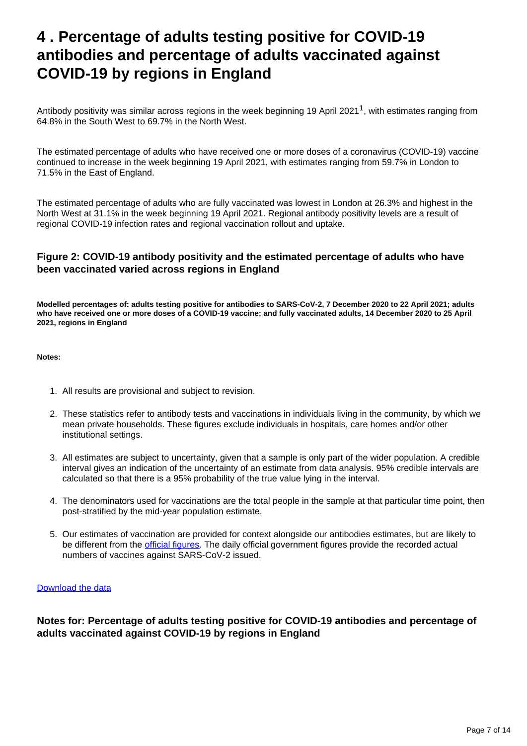# <span id="page-6-0"></span>**4 . Percentage of adults testing positive for COVID-19 antibodies and percentage of adults vaccinated against COVID-19 by regions in England**

Antibody positivity was similar across regions in the week beginning 19 April 2021<sup>1</sup>, with estimates ranging from 64.8% in the South West to 69.7% in the North West.

The estimated percentage of adults who have received one or more doses of a coronavirus (COVID-19) vaccine continued to increase in the week beginning 19 April 2021, with estimates ranging from 59.7% in London to 71.5% in the East of England.

The estimated percentage of adults who are fully vaccinated was lowest in London at 26.3% and highest in the North West at 31.1% in the week beginning 19 April 2021. Regional antibody positivity levels are a result of regional COVID-19 infection rates and regional vaccination rollout and uptake.

## **Figure 2: COVID-19 antibody positivity and the estimated percentage of adults who have been vaccinated varied across regions in England**

**Modelled percentages of: adults testing positive for antibodies to SARS-CoV-2, 7 December 2020 to 22 April 2021; adults who have received one or more doses of a COVID-19 vaccine; and fully vaccinated adults, 14 December 2020 to 25 April 2021, regions in England**

**Notes:**

- 1. All results are provisional and subject to revision.
- 2. These statistics refer to antibody tests and vaccinations in individuals living in the community, by which we mean private households. These figures exclude individuals in hospitals, care homes and/or other institutional settings.
- 3. All estimates are subject to uncertainty, given that a sample is only part of the wider population. A credible interval gives an indication of the uncertainty of an estimate from data analysis. 95% credible intervals are calculated so that there is a 95% probability of the true value lying in the interval.
- 4. The denominators used for vaccinations are the total people in the sample at that particular time point, then post-stratified by the mid-year population estimate.
- 5. Our estimates of vaccination are provided for context alongside our antibodies estimates, but are likely to be different from the **[official figures](https://coronavirus.data.gov.uk/details/vaccinations)**. The daily official government figures provide the recorded actual numbers of vaccines against SARS-CoV-2 issued.

### [Download the data](https://www.ons.gov.uk/visualisations/dvc1357/vacregion/datadownload.xlsx)

**Notes for: Percentage of adults testing positive for COVID-19 antibodies and percentage of adults vaccinated against COVID-19 by regions in England**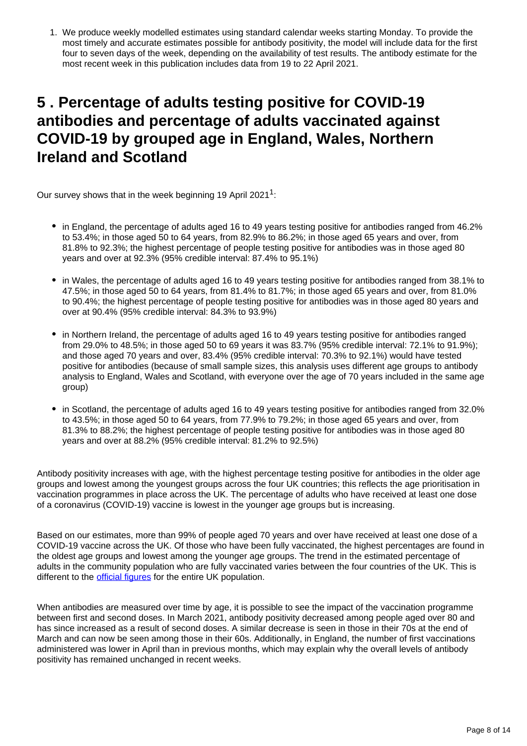1. We produce weekly modelled estimates using standard calendar weeks starting Monday. To provide the most timely and accurate estimates possible for antibody positivity, the model will include data for the first four to seven days of the week, depending on the availability of test results. The antibody estimate for the most recent week in this publication includes data from 19 to 22 April 2021.

# <span id="page-7-0"></span>**5 . Percentage of adults testing positive for COVID-19 antibodies and percentage of adults vaccinated against COVID-19 by grouped age in England, Wales, Northern Ireland and Scotland**

Our survey shows that in the week beginning 19 April 2021<sup>1</sup>:

- in England, the percentage of adults aged 16 to 49 years testing positive for antibodies ranged from 46.2% to 53.4%; in those aged 50 to 64 years, from 82.9% to 86.2%; in those aged 65 years and over, from 81.8% to 92.3%; the highest percentage of people testing positive for antibodies was in those aged 80 years and over at 92.3% (95% credible interval: 87.4% to 95.1%)
- in Wales, the percentage of adults aged 16 to 49 years testing positive for antibodies ranged from 38.1% to 47.5%; in those aged 50 to 64 years, from 81.4% to 81.7%; in those aged 65 years and over, from 81.0% to 90.4%; the highest percentage of people testing positive for antibodies was in those aged 80 years and over at 90.4% (95% credible interval: 84.3% to 93.9%)
- in Northern Ireland, the percentage of adults aged 16 to 49 years testing positive for antibodies ranged from 29.0% to 48.5%; in those aged 50 to 69 years it was 83.7% (95% credible interval: 72.1% to 91.9%); and those aged 70 years and over, 83.4% (95% credible interval: 70.3% to 92.1%) would have tested positive for antibodies (because of small sample sizes, this analysis uses different age groups to antibody analysis to England, Wales and Scotland, with everyone over the age of 70 years included in the same age group)
- in Scotland, the percentage of adults aged 16 to 49 years testing positive for antibodies ranged from 32.0% to 43.5%; in those aged 50 to 64 years, from 77.9% to 79.2%; in those aged 65 years and over, from 81.3% to 88.2%; the highest percentage of people testing positive for antibodies was in those aged 80 years and over at 88.2% (95% credible interval: 81.2% to 92.5%)

Antibody positivity increases with age, with the highest percentage testing positive for antibodies in the older age groups and lowest among the youngest groups across the four UK countries; this reflects the age prioritisation in vaccination programmes in place across the UK. The percentage of adults who have received at least one dose of a coronavirus (COVID-19) vaccine is lowest in the younger age groups but is increasing.

Based on our estimates, more than 99% of people aged 70 years and over have received at least one dose of a COVID-19 vaccine across the UK. Of those who have been fully vaccinated, the highest percentages are found in the oldest age groups and lowest among the younger age groups. The trend in the estimated percentage of adults in the community population who are fully vaccinated varies between the four countries of the UK. This is different to the *official figures* for the entire UK population.

When antibodies are measured over time by age, it is possible to see the impact of the vaccination programme between first and second doses. In March 2021, antibody positivity decreased among people aged over 80 and has since increased as a result of second doses. A similar decrease is seen in those in their 70s at the end of March and can now be seen among those in their 60s. Additionally, in England, the number of first vaccinations administered was lower in April than in previous months, which may explain why the overall levels of antibody positivity has remained unchanged in recent weeks.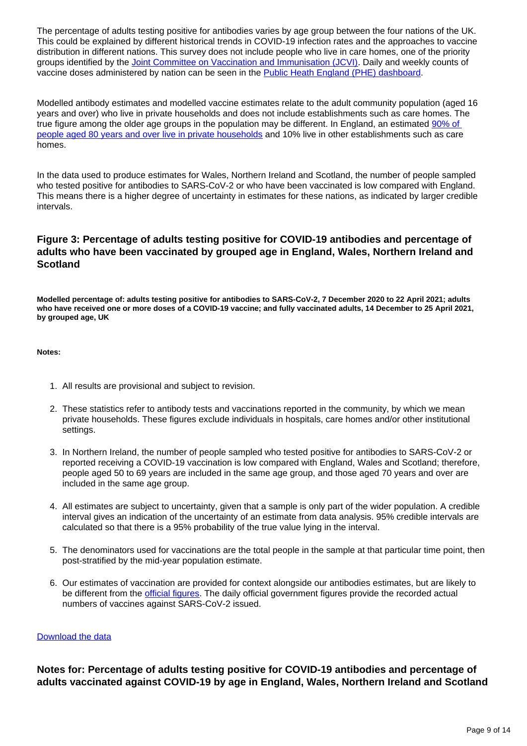The percentage of adults testing positive for antibodies varies by age group between the four nations of the UK. This could be explained by different historical trends in COVID-19 infection rates and the approaches to vaccine distribution in different nations. This survey does not include people who live in care homes, one of the priority groups identified by the [Joint Committee on Vaccination and Immunisation \(JCVI\)](https://www.gov.uk/government/publications/priority-groups-for-coronavirus-covid-19-vaccination-advice-from-the-jcvi-30-december-2020/joint-committee-on-vaccination-and-immunisation-advice-on-priority-groups-for-covid-19-vaccination-30-december-2020). Daily and weekly counts of vaccine doses administered by nation can be seen in the [Public Heath England \(PHE\) dashboard](https://coronavirus.data.gov.uk/details/vaccinations).

Modelled antibody estimates and modelled vaccine estimates relate to the adult community population (aged 16 years and over) who live in private households and does not include establishments such as care homes. The true figure among the older age groups in the population may be different. In England, an estimated [90% of](https://www.ons.gov.uk/peoplepopulationandcommunity/populationandmigration/populationprojections/datasets/householdprojectionsforenglanddetaileddataformodellingandanalysis)  [people aged 80 years and over live in private households](https://www.ons.gov.uk/peoplepopulationandcommunity/populationandmigration/populationprojections/datasets/householdprojectionsforenglanddetaileddataformodellingandanalysis) and 10% live in other establishments such as care homes.

In the data used to produce estimates for Wales, Northern Ireland and Scotland, the number of people sampled who tested positive for antibodies to SARS-CoV-2 or who have been vaccinated is low compared with England. This means there is a higher degree of uncertainty in estimates for these nations, as indicated by larger credible intervals.

## **Figure 3: Percentage of adults testing positive for COVID-19 antibodies and percentage of adults who have been vaccinated by grouped age in England, Wales, Northern Ireland and Scotland**

**Modelled percentage of: adults testing positive for antibodies to SARS-CoV-2, 7 December 2020 to 22 April 2021; adults who have received one or more doses of a COVID-19 vaccine; and fully vaccinated adults, 14 December to 25 April 2021, by grouped age, UK**

#### **Notes:**

- 1. All results are provisional and subject to revision.
- 2. These statistics refer to antibody tests and vaccinations reported in the community, by which we mean private households. These figures exclude individuals in hospitals, care homes and/or other institutional settings.
- 3. In Northern Ireland, the number of people sampled who tested positive for antibodies to SARS-CoV-2 or reported receiving a COVID-19 vaccination is low compared with England, Wales and Scotland; therefore, people aged 50 to 69 years are included in the same age group, and those aged 70 years and over are included in the same age group.
- 4. All estimates are subject to uncertainty, given that a sample is only part of the wider population. A credible interval gives an indication of the uncertainty of an estimate from data analysis. 95% credible intervals are calculated so that there is a 95% probability of the true value lying in the interval.
- 5. The denominators used for vaccinations are the total people in the sample at that particular time point, then post-stratified by the mid-year population estimate.
- 6. Our estimates of vaccination are provided for context alongside our antibodies estimates, but are likely to be different from the [official figures](https://coronavirus.data.gov.uk/details/vaccinations). The daily official government figures provide the recorded actual numbers of vaccines against SARS-CoV-2 issued.

### [Download the data](https://www.ons.gov.uk/visualisations/dvc1357/ageovertimewrapper/datadownload.xlsx)

**Notes for: Percentage of adults testing positive for COVID-19 antibodies and percentage of adults vaccinated against COVID-19 by age in England, Wales, Northern Ireland and Scotland**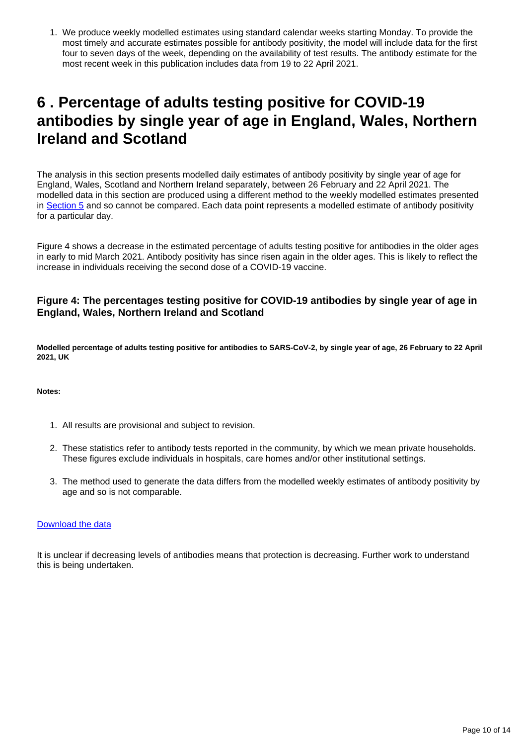1. We produce weekly modelled estimates using standard calendar weeks starting Monday. To provide the most timely and accurate estimates possible for antibody positivity, the model will include data for the first four to seven days of the week, depending on the availability of test results. The antibody estimate for the most recent week in this publication includes data from 19 to 22 April 2021.

# <span id="page-9-0"></span>**6 . Percentage of adults testing positive for COVID-19 antibodies by single year of age in England, Wales, Northern Ireland and Scotland**

The analysis in this section presents modelled daily estimates of antibody positivity by single year of age for England, Wales, Scotland and Northern Ireland separately, between 26 February and 22 April 2021. The modelled data in this section are produced using a different method to the weekly modelled estimates presented in [Section 5](https://www.ons.gov.uk/peoplepopulationandcommunity/healthandsocialcare/conditionsanddiseases/articles/coronaviruscovid19infectionsurveyantibodydatafortheuk/13may2021#percentage-of-adults-testing-positive-for-covid-19-antibodies-and-percentage-of-adults-vaccinated-against-covid-19-by-grouped-age-in-england-wales-northern-ireland-and-scotland) and so cannot be compared. Each data point represents a modelled estimate of antibody positivity for a particular day.

Figure 4 shows a decrease in the estimated percentage of adults testing positive for antibodies in the older ages in early to mid March 2021. Antibody positivity has since risen again in the older ages. This is likely to reflect the increase in individuals receiving the second dose of a COVID-19 vaccine.

### **Figure 4: The percentages testing positive for COVID-19 antibodies by single year of age in England, Wales, Northern Ireland and Scotland**

**Modelled percentage of adults testing positive for antibodies to SARS-CoV-2, by single year of age, 26 February to 22 April 2021, UK**

#### **Notes:**

- 1. All results are provisional and subject to revision.
- 2. These statistics refer to antibody tests reported in the community, by which we mean private households. These figures exclude individuals in hospitals, care homes and/or other institutional settings.
- 3. The method used to generate the data differs from the modelled weekly estimates of antibody positivity by age and so is not comparable.

### [Download the data](https://www.ons.gov.uk/visualisations/dvc1357/syoa/datadownload.xlsx)

It is unclear if decreasing levels of antibodies means that protection is decreasing. Further work to understand this is being undertaken.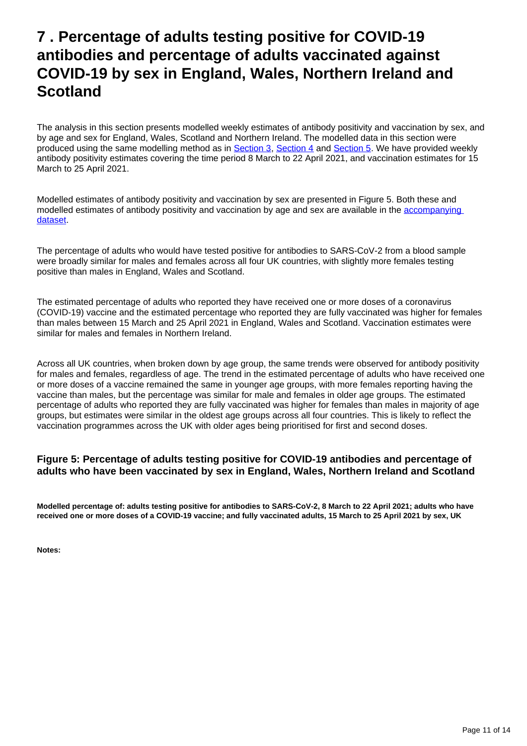# <span id="page-10-0"></span>**7 . Percentage of adults testing positive for COVID-19 antibodies and percentage of adults vaccinated against COVID-19 by sex in England, Wales, Northern Ireland and Scotland**

The analysis in this section presents modelled weekly estimates of antibody positivity and vaccination by sex, and by age and sex for England, Wales, Scotland and Northern Ireland. The modelled data in this section were produced using the same modelling method as in [Section 3](https://www.ons.gov.uk/peoplepopulationandcommunity/healthandsocialcare/conditionsanddiseases/articles/coronaviruscovid19infectionsurveyantibodydatafortheuk/13may2021#percentage-of-adults-testing-positive-for-covid-19-antibodies-and-percentage-of-adults-vaccinated-against-covid-19-in-england-wales-northern-ireland-and-scotland), [Section 4](https://www.ons.gov.uk/peoplepopulationandcommunity/healthandsocialcare/conditionsanddiseases/articles/coronaviruscovid19infectionsurveyantibodydatafortheuk/13may2021#percentage-of-adults-testing-positive-for-covid-19-antibodies-and-percentage-of-adults-vaccinated-against-covid-19-by-regions-in-england) and [Section 5](https://www.ons.gov.uk/peoplepopulationandcommunity/healthandsocialcare/conditionsanddiseases/articles/coronaviruscovid19infectionsurveyantibodydatafortheuk/13may2021#percentage-of-adults-testing-positive-for-covid-19-antibodies-and-percentage-of-adults-vaccinated-against-covid-19-by-grouped-age-in-england-wales-northern-ireland-and-scotland). We have provided weekly antibody positivity estimates covering the time period 8 March to 22 April 2021, and vaccination estimates for 15 March to 25 April 2021.

Modelled estimates of antibody positivity and vaccination by sex are presented in Figure 5. Both these and modelled estimates of antibody positivity and vaccination by age and sex are available in the [accompanying](https://www.ons.gov.uk/peoplepopulationandcommunity/healthandsocialcare/conditionsanddiseases/datasets/coronaviruscovid19antibodydatafortheuk)  [dataset.](https://www.ons.gov.uk/peoplepopulationandcommunity/healthandsocialcare/conditionsanddiseases/datasets/coronaviruscovid19antibodydatafortheuk)

The percentage of adults who would have tested positive for antibodies to SARS-CoV-2 from a blood sample were broadly similar for males and females across all four UK countries, with slightly more females testing positive than males in England, Wales and Scotland.

The estimated percentage of adults who reported they have received one or more doses of a coronavirus (COVID-19) vaccine and the estimated percentage who reported they are fully vaccinated was higher for females than males between 15 March and 25 April 2021 in England, Wales and Scotland. Vaccination estimates were similar for males and females in Northern Ireland.

Across all UK countries, when broken down by age group, the same trends were observed for antibody positivity for males and females, regardless of age. The trend in the estimated percentage of adults who have received one or more doses of a vaccine remained the same in younger age groups, with more females reporting having the vaccine than males, but the percentage was similar for male and females in older age groups. The estimated percentage of adults who reported they are fully vaccinated was higher for females than males in majority of age groups, but estimates were similar in the oldest age groups across all four countries. This is likely to reflect the vaccination programmes across the UK with older ages being prioritised for first and second doses.

### **Figure 5: Percentage of adults testing positive for COVID-19 antibodies and percentage of adults who have been vaccinated by sex in England, Wales, Northern Ireland and Scotland**

**Modelled percentage of: adults testing positive for antibodies to SARS-CoV-2, 8 March to 22 April 2021; adults who have received one or more doses of a COVID-19 vaccine; and fully vaccinated adults, 15 March to 25 April 2021 by sex, UK**

**Notes:**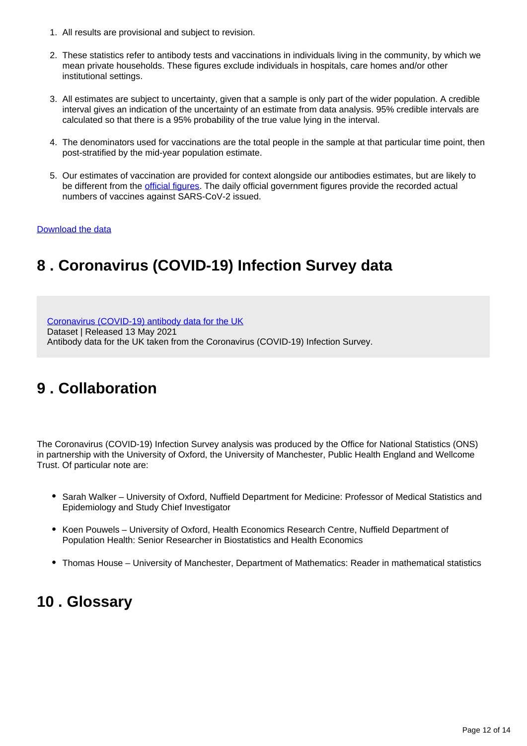- 1. All results are provisional and subject to revision.
- 2. These statistics refer to antibody tests and vaccinations in individuals living in the community, by which we mean private households. These figures exclude individuals in hospitals, care homes and/or other institutional settings.
- 3. All estimates are subject to uncertainty, given that a sample is only part of the wider population. A credible interval gives an indication of the uncertainty of an estimate from data analysis. 95% credible intervals are calculated so that there is a 95% probability of the true value lying in the interval.
- 4. The denominators used for vaccinations are the total people in the sample at that particular time point, then post-stratified by the mid-year population estimate.
- 5. Our estimates of vaccination are provided for context alongside our antibodies estimates, but are likely to be different from the [official figures](https://coronavirus.data.gov.uk/details/vaccinations). The daily official government figures provide the recorded actual numbers of vaccines against SARS-CoV-2 issued.

### [Download the data](https://www.ons.gov.uk/visualisations/dvc1357/sexovertimewrapper/datadownload.xlsx)

# <span id="page-11-0"></span>**8 . Coronavirus (COVID-19) Infection Survey data**

[Coronavirus \(COVID-19\) antibody data for the UK](https://www.ons.gov.uk/peoplepopulationandcommunity/healthandsocialcare/conditionsanddiseases/datasets/coronaviruscovid19antibodydatafortheuk)

Dataset | Released 13 May 2021

Antibody data for the UK taken from the Coronavirus (COVID-19) Infection Survey.

# <span id="page-11-1"></span>**9 . Collaboration**

The Coronavirus (COVID-19) Infection Survey analysis was produced by the Office for National Statistics (ONS) in partnership with the University of Oxford, the University of Manchester, Public Health England and Wellcome Trust. Of particular note are:

- Sarah Walker University of Oxford, Nuffield Department for Medicine: Professor of Medical Statistics and Epidemiology and Study Chief Investigator
- Koen Pouwels University of Oxford, Health Economics Research Centre, Nuffield Department of Population Health: Senior Researcher in Biostatistics and Health Economics
- Thomas House University of Manchester, Department of Mathematics: Reader in mathematical statistics

# <span id="page-11-2"></span>**10 . Glossary**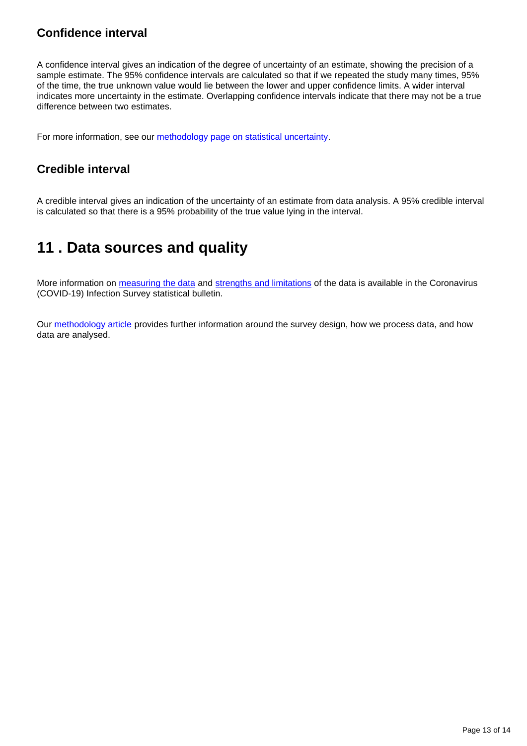# **Confidence interval**

A confidence interval gives an indication of the degree of uncertainty of an estimate, showing the precision of a sample estimate. The 95% confidence intervals are calculated so that if we repeated the study many times, 95% of the time, the true unknown value would lie between the lower and upper confidence limits. A wider interval indicates more uncertainty in the estimate. Overlapping confidence intervals indicate that there may not be a true difference between two estimates.

For more information, see our [methodology page on statistical uncertainty.](https://www.ons.gov.uk/methodology/methodologytopicsandstatisticalconcepts/uncertaintyandhowwemeasureit)

## **Credible interval**

A credible interval gives an indication of the uncertainty of an estimate from data analysis. A 95% credible interval is calculated so that there is a 95% probability of the true value lying in the interval.

# <span id="page-12-0"></span>**11 . Data sources and quality**

More information on [measuring the data](https://www.ons.gov.uk/peoplepopulationandcommunity/healthandsocialcare/conditionsanddiseases/bulletins/coronaviruscovid19infectionsurveypilot/latest#measuring-the-data) and [strengths and limitations](https://www.ons.gov.uk/peoplepopulationandcommunity/healthandsocialcare/conditionsanddiseases/bulletins/coronaviruscovid19infectionsurveypilot/latest#strengths-and-limitations) of the data is available in the Coronavirus (COVID-19) Infection Survey statistical bulletin.

Our [methodology article](https://www.ons.gov.uk/peoplepopulationandcommunity/healthandsocialcare/conditionsanddiseases/methodologies/covid19infectionsurveypilotmethodsandfurtherinformation) provides further information around the survey design, how we process data, and how data are analysed.